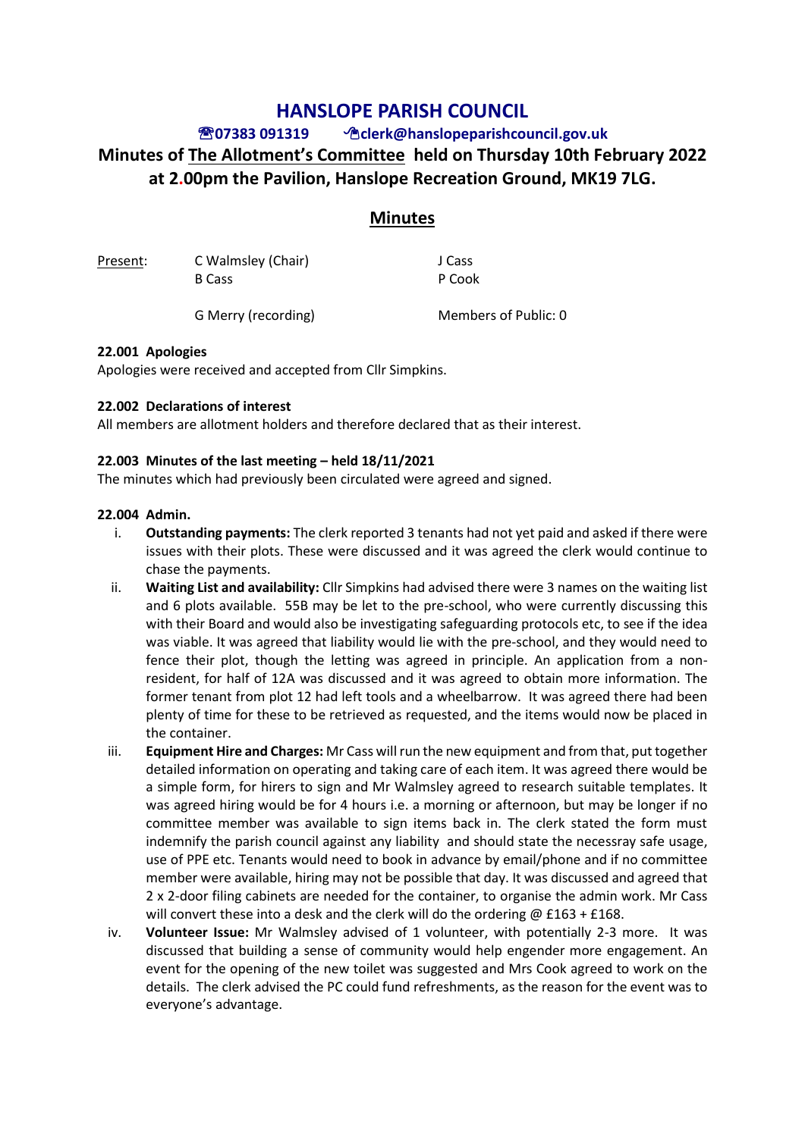## **HANSLOPE PARISH COUNCIL**

# **07383 091319 clerk@hanslopeparishcouncil.gov.uk Minutes of The Allotment's Committee held on Thursday 10th February 2022 at 2.00pm the Pavilion, Hanslope Recreation Ground, MK19 7LG.**

### **Minutes**

| Present: | C Walmsley (Chair) | J Cass |
|----------|--------------------|--------|
|          | B Cass             | P Cook |
|          |                    |        |

G Merry (recording) Members of Public: 0

#### **22.001 Apologies**

Apologies were received and accepted from Cllr Simpkins.

#### **22.002 Declarations of interest**

All members are allotment holders and therefore declared that as their interest.

#### **22.003 Minutes of the last meeting – held 18/11/2021**

The minutes which had previously been circulated were agreed and signed.

#### **22.004 Admin.**

- i. **Outstanding payments:** The clerk reported 3 tenants had not yet paid and asked if there were issues with their plots. These were discussed and it was agreed the clerk would continue to chase the payments.
- ii. **Waiting List and availability:** Cllr Simpkins had advised there were 3 names on the waiting list and 6 plots available. 55B may be let to the pre-school, who were currently discussing this with their Board and would also be investigating safeguarding protocols etc, to see if the idea was viable. It was agreed that liability would lie with the pre-school, and they would need to fence their plot, though the letting was agreed in principle. An application from a nonresident, for half of 12A was discussed and it was agreed to obtain more information. The former tenant from plot 12 had left tools and a wheelbarrow. It was agreed there had been plenty of time for these to be retrieved as requested, and the items would now be placed in the container.
- iii. **Equipment Hire and Charges:** Mr Cass will run the new equipment and from that, put together detailed information on operating and taking care of each item. It was agreed there would be a simple form, for hirers to sign and Mr Walmsley agreed to research suitable templates. It was agreed hiring would be for 4 hours i.e. a morning or afternoon, but may be longer if no committee member was available to sign items back in. The clerk stated the form must indemnify the parish council against any liability and should state the necessray safe usage, use of PPE etc. Tenants would need to book in advance by email/phone and if no committee member were available, hiring may not be possible that day. It was discussed and agreed that 2 x 2-door filing cabinets are needed for the container, to organise the admin work. Mr Cass will convert these into a desk and the clerk will do the ordering @ £163 + £168.
- iv. **Volunteer Issue:** Mr Walmsley advised of 1 volunteer, with potentially 2-3 more. It was discussed that building a sense of community would help engender more engagement. An event for the opening of the new toilet was suggested and Mrs Cook agreed to work on the details. The clerk advised the PC could fund refreshments, as the reason for the event was to everyone's advantage.